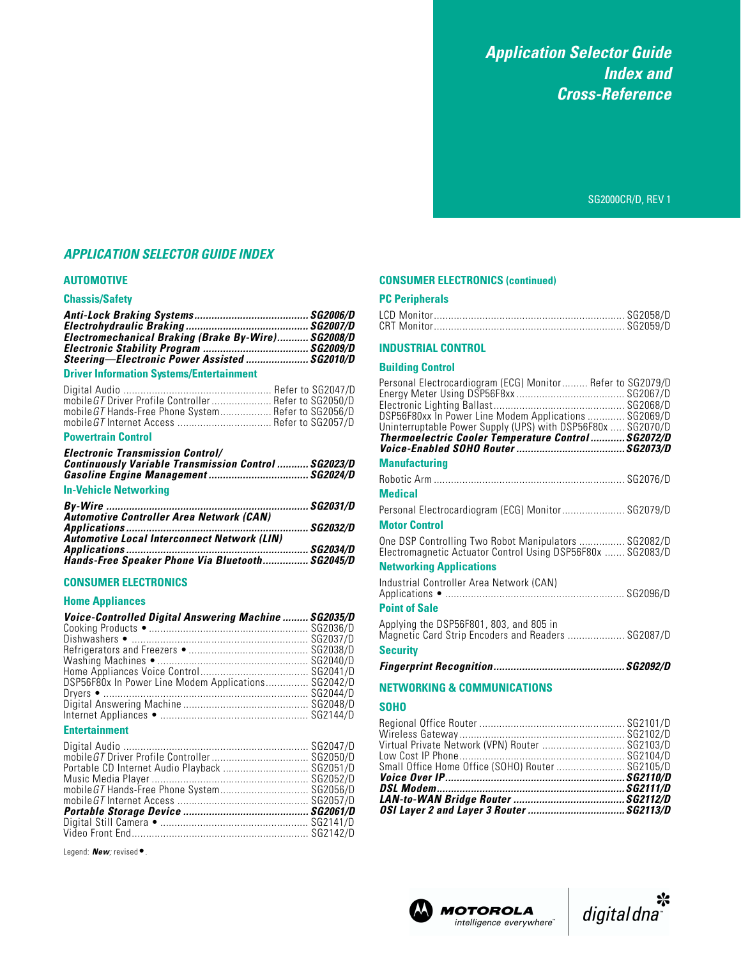*Application Selector Guide Index and Cross-Reference*

SG2000CR/D, REV 1

# *APPLICATION SELECTOR GUIDE INDEX*

#### **AUTOMOTIVE**

#### **Chassis/Safety**

| Electromechanical Braking (Brake By-Wire) SG2008/D |  |
|----------------------------------------------------|--|
|                                                    |  |
| Steering-Electronic Power Assisted  SG2010/D       |  |
|                                                    |  |

#### **Driver Information Systems/Entertainment**

| mobile GT Driver Profile Controller Refer to SG2050/D |  |
|-------------------------------------------------------|--|
| mobile GT Hands-Free Phone System Refer to SG2056/D   |  |
|                                                       |  |

#### **Powertrain Control**

| <b>Electronic Transmission Control/</b>                     |  |
|-------------------------------------------------------------|--|
| <b>Continuously Variable Transmission Control  SG2023/D</b> |  |
| <b>In-Vehicle Networking</b>                                |  |

| Automotive Controller Area Network (CAN)           |  |
|----------------------------------------------------|--|
|                                                    |  |
| <b>Automotive Local Interconnect Network (LIN)</b> |  |
|                                                    |  |
| Hands-Free Speaker Phone Via Bluetooth SG2045/D    |  |

#### **CONSUMER ELECTRONICS**

#### **Home Appliances**

| Voice-Controlled Digital Answering Machine  SG2035/D |          |
|------------------------------------------------------|----------|
|                                                      |          |
|                                                      |          |
|                                                      |          |
|                                                      |          |
|                                                      |          |
| DSP56F80x In Power Line Modem Applications SG2042/D  |          |
|                                                      |          |
|                                                      |          |
|                                                      |          |
| <b>Entertainment</b>                                 |          |
| Digital Audia                                        | CCD017/D |

| Portable CD Internet Audio Playback  SG2051/D |  |
|-----------------------------------------------|--|
|                                               |  |
| mobile GT Hands-Free Phone System SG2056/D    |  |
|                                               |  |
|                                               |  |
|                                               |  |
|                                               |  |
|                                               |  |

Legend: *New*; revised ●.

### **CONSUMER ELECTRONICS (continued)**

### **PC Peripherals**

#### **INDUSTRIAL CONTROL**

#### **Building Control**

| Personal Electrocardiogram (ECG) Monitor Refer to SG2079/D                                                           |  |
|----------------------------------------------------------------------------------------------------------------------|--|
|                                                                                                                      |  |
| DSP56F80xx In Power Line Modem Applications  SG2069/D<br>Uninterruptable Power Supply (UPS) with DSP56F80x  SG2070/D |  |
| Thermoelectric Cooler Temperature Control  SG2072/D                                                                  |  |
|                                                                                                                      |  |
| <b>Manufacturing</b>                                                                                                 |  |
|                                                                                                                      |  |
| <b>Medical</b>                                                                                                       |  |
| Personal Electrocardiogram (ECG) Monitor SG2079/D                                                                    |  |
| <b>Motor Control</b>                                                                                                 |  |
| One DSP Controlling Two Robot Manipulators  SG2082/D<br>Electromagnetic Actuator Control Using DSP56F80x  SG2083/D   |  |
| <b>Networking Applications</b>                                                                                       |  |
| Industrial Controller Area Network (CAN)                                                                             |  |
| <b>Point of Sale</b>                                                                                                 |  |
| Applying the DSP56F801, 803, and 805 in<br>Magnetic Card Strip Encoders and Readers  SG2087/D                        |  |
| <b>Security</b>                                                                                                      |  |
|                                                                                                                      |  |
| METRIADIZINA O COMMUNICATIONS                                                                                        |  |

#### **NETWORKING & COMMUNICATIONS**

#### **SOHO**

| Small Office Home Office (SOHO) Router  SG2105/D |  |
|--------------------------------------------------|--|
|                                                  |  |
| Virtual Private Network (VPN) Router  SG2103/D   |  |
|                                                  |  |
|                                                  |  |



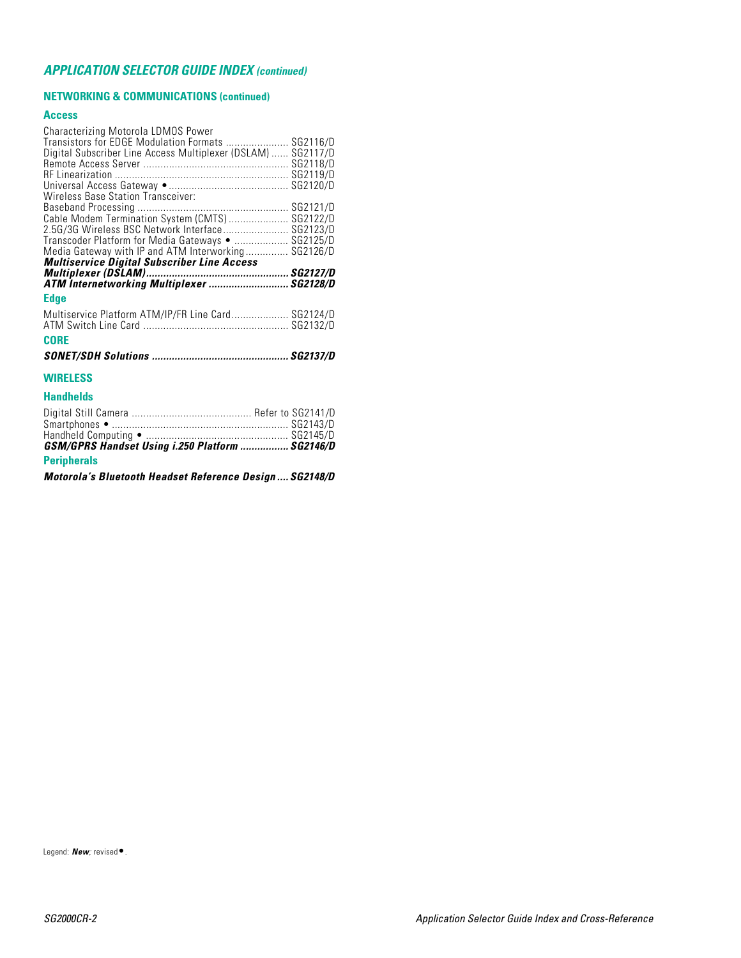# *APPLICATION SELECTOR GUIDE INDEX (continued)*

### **NETWORKING & COMMUNICATIONS (continued)**

#### **Access**

| Characterizing Motorola LDMOS Power<br>Transistors for EDGE Modulation Formats  SG2116/D<br>Digital Subscriber Line Access Multiplexer (DSLAM)  SG2117/D<br><b>Wireless Base Station Transceiver:</b><br>2.5G/3G Wireless BSC Network Interface SG2123/D<br>Transcoder Platform for Media Gateways •  SG2125/D<br>Media Gateway with IP and ATM Interworking SG2126/D<br><b>Multiservice Digital Subscriber Line Access</b> |  |
|-----------------------------------------------------------------------------------------------------------------------------------------------------------------------------------------------------------------------------------------------------------------------------------------------------------------------------------------------------------------------------------------------------------------------------|--|
| ATM Internetworking Multiplexer  SG2128/D                                                                                                                                                                                                                                                                                                                                                                                   |  |
| <b>Edge</b>                                                                                                                                                                                                                                                                                                                                                                                                                 |  |
| Multiservice Platform ATM/IP/FR Line Card SG2124/D<br><b>CORE</b>                                                                                                                                                                                                                                                                                                                                                           |  |
|                                                                                                                                                                                                                                                                                                                                                                                                                             |  |
| <b>WIRELESS</b>                                                                                                                                                                                                                                                                                                                                                                                                             |  |
| <b>Handhelds</b>                                                                                                                                                                                                                                                                                                                                                                                                            |  |
|                                                                                                                                                                                                                                                                                                                                                                                                                             |  |

| GSM/GPRS Handset Using i.250 Platform  SG2146/D |  |
|-------------------------------------------------|--|
| <b>Peripherals</b>                              |  |
|                                                 |  |

*Motorola's Bluetooth Headset Reference Design .... SG2148/D*

Legend: *New;* revised•.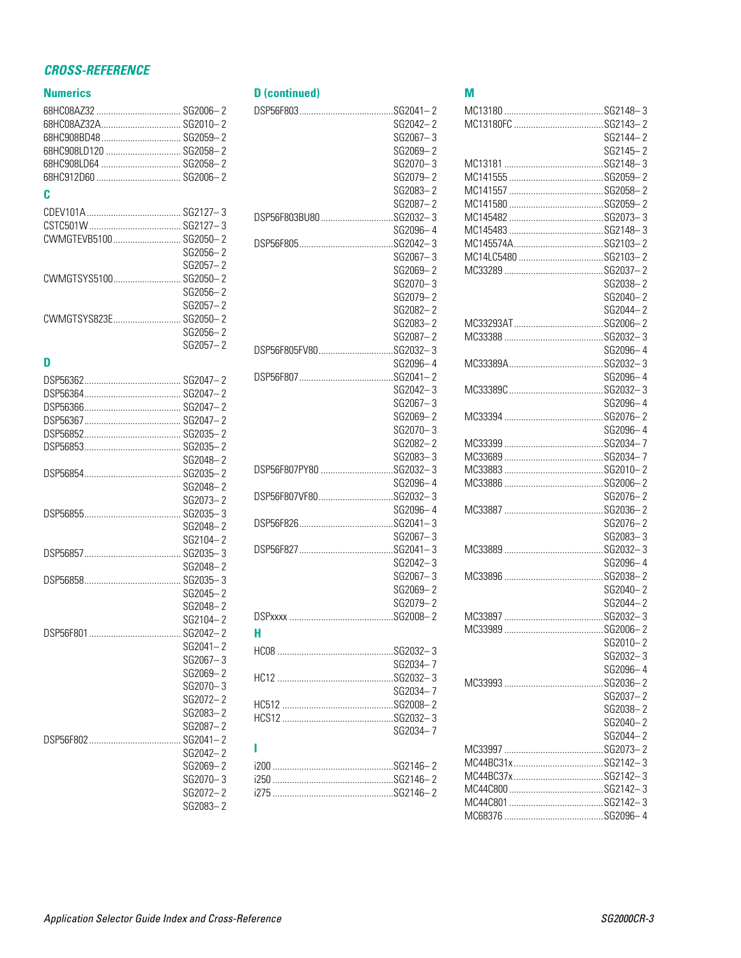# *CROSS-REFERENCE*

# **Numerics**

| Numeries               |          | ס וכ            |
|------------------------|----------|-----------------|
|                        |          | <b>DSP</b>      |
| 68HC08AZ32A SG2010-2   |          |                 |
| 68HC908BD48 SG2059-2   |          |                 |
| 68HC908LD120  SG2058-2 |          |                 |
| 68HC908LD64  SG2058-2  |          |                 |
| 68HC912D60  SG2006-2   |          |                 |
|                        |          |                 |
| C                      |          |                 |
|                        |          |                 |
|                        |          | <b>DSP</b>      |
| CWMGTEVB5100 SG2050-2  |          |                 |
|                        | SG2056-2 | <b>DSP</b>      |
|                        | SG2057-2 |                 |
| CWMGTSYS5100 SG2050-2  |          |                 |
|                        |          |                 |
|                        | SG2056-2 |                 |
|                        | SG2057-2 |                 |
| CWMGTSYS823E SG2050-2  |          |                 |
|                        | SG2056-2 |                 |
|                        | SG2057-2 | <b>DSP</b>      |
| D                      |          |                 |
|                        |          | <b>DSP</b>      |
|                        |          |                 |
|                        |          |                 |
|                        |          |                 |
|                        |          |                 |
|                        |          |                 |
|                        |          |                 |
|                        | SG2048-2 |                 |
|                        |          | <b>DSP</b>      |
|                        | SG2048-2 |                 |
|                        | SG2073-2 | <b>DSP</b>      |
|                        |          |                 |
|                        | SG2048-2 | <b>DSP</b>      |
|                        | SG2104-2 |                 |
|                        |          | <b>DSP</b>      |
|                        | SG2048-2 |                 |
|                        |          |                 |
|                        | SG2045-2 |                 |
|                        | SG2048-2 |                 |
|                        |          | DSP             |
|                        | SG2104-2 |                 |
| <b>DSP56F801</b>       | SG2042-2 | H.              |
|                        | SG2041-2 | HC0             |
|                        | SG2067-3 |                 |
|                        | SG2069-2 | HC <sub>1</sub> |
|                        | SG2070-3 |                 |
|                        | SG2072-2 | HC5             |
|                        | SG2083-2 | <b>HCS</b>      |
|                        | SG2087-2 |                 |
|                        |          |                 |
|                        | SG2042-2 | ı               |
|                        | SG2069-2 | i200            |
|                        | SG2070-3 | i250            |
|                        | SG2072-2 | i275            |
|                        |          |                 |
|                        | SG2083-2 |                 |

| <b>D</b> (continued)   |          |
|------------------------|----------|
|                        |          |
|                        | SG2042-2 |
|                        | SG2067-3 |
|                        | SG2069-2 |
|                        | SG2070-3 |
|                        | SG2079-2 |
|                        |          |
|                        | SG2083-2 |
|                        | SG2087-2 |
| DSP56F803BU80SG2032-3  |          |
|                        | SG2096-4 |
|                        |          |
|                        | SG2067-3 |
|                        | SG2069-2 |
|                        | SG2070-3 |
|                        | SG2079-2 |
|                        | SG2082-2 |
|                        | SG2083-2 |
|                        | SG2087-2 |
| DSP56F805FV80SG2032-3  |          |
|                        | SG2096-4 |
|                        |          |
|                        | SG2042-3 |
|                        | SG2067-3 |
|                        | SG2069-2 |
|                        |          |
|                        | SG2070-3 |
|                        | SG2082-2 |
|                        | SG2083-3 |
| DSP56F807PY80 SG2032-3 |          |
|                        | SG2096-4 |
| DSP56F807VF80SG2032-3  |          |
|                        | SG2096-4 |
|                        |          |
|                        | SG2067-3 |
|                        |          |
|                        | SG2042-3 |
|                        | SG2067-3 |
|                        | SG2069-2 |
|                        | SG2079-2 |
|                        |          |
| н                      |          |
|                        |          |
|                        |          |
|                        | SG2034-7 |
|                        |          |
|                        | SG2034-7 |
|                        |          |
|                        |          |
|                        | SG2034-7 |
| ı                      |          |
|                        |          |
|                        |          |
|                        |          |
|                        |          |
|                        |          |

# **M**

|                     | SG2144-2  |
|---------------------|-----------|
|                     | SG2145-2  |
|                     |           |
|                     |           |
|                     |           |
|                     |           |
|                     |           |
|                     |           |
|                     |           |
|                     |           |
|                     |           |
| MC14LC5480 SG2103-2 |           |
|                     |           |
|                     | SG2038-2  |
|                     | SG2040-2  |
|                     |           |
|                     | SG2044-2  |
|                     |           |
|                     |           |
|                     | SG2096-4  |
|                     |           |
|                     |           |
|                     | SG2096-4  |
|                     |           |
|                     | SG2096-4  |
|                     |           |
|                     | SG2096-4  |
|                     |           |
|                     |           |
|                     |           |
|                     |           |
|                     |           |
|                     |           |
|                     | SG2076-2  |
|                     |           |
|                     | SG2076-2  |
|                     | SG2083-3  |
|                     |           |
|                     |           |
|                     | SG2096-4  |
|                     |           |
|                     | SG2040-2  |
|                     | SG2044-2  |
|                     |           |
|                     |           |
|                     |           |
|                     | SG2010– 2 |
|                     | SG2032-3  |
|                     | SG2096-4  |
|                     |           |
|                     |           |
|                     | SG2037-2  |
|                     | SG2038-2  |
|                     | SG2040-2  |
|                     | SG2044-2  |
|                     |           |
|                     |           |
|                     |           |
|                     |           |
|                     |           |
|                     |           |
|                     |           |
|                     |           |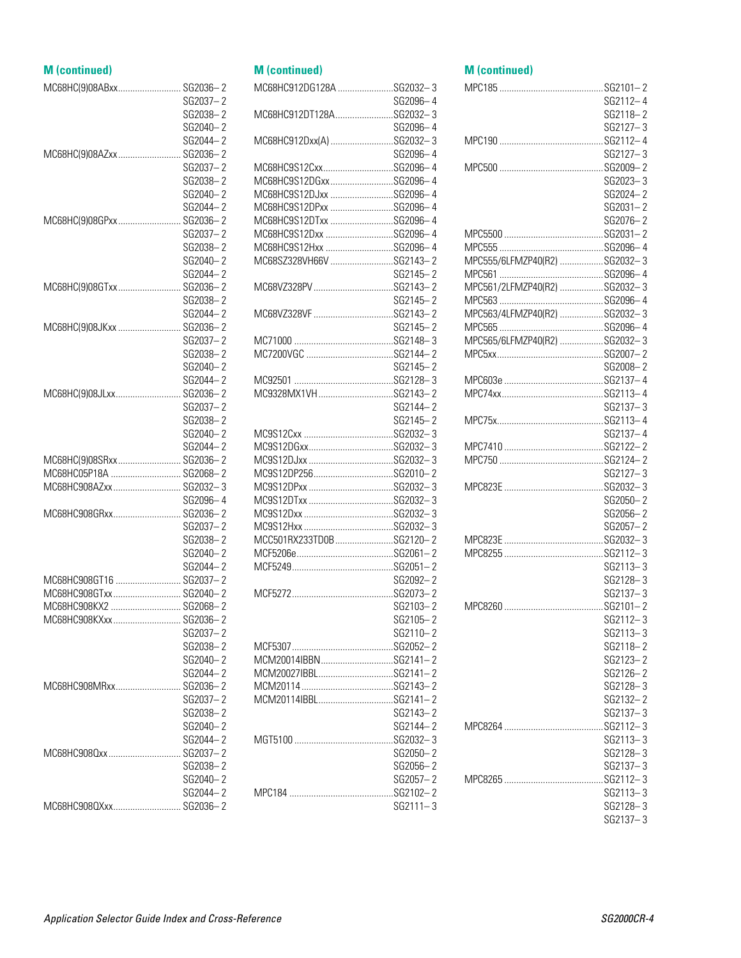#### **M (continued)** MC68HC(9)08ABxx.......................... SG2036– 2 SG2037– 2 SG2038– 2 SG2040– 2 SG2044– 2 MC68HC(9)08AZxx.......................... SG2036– 2 SG2037– 2 SG2038– 2 SG2040– 2 SG2044– 2 MC68HC(9)08GPxx.......................... SG2036– 2 SG2037– 2 SG2038– 2 SG2040– 2 SG2044– 2 MC68HC(9)08GTxx.......................... SG2036– 2 SG2038– 2 SG2044– 2 MC68HC(9)08JKxx .......................... SG2036– 2 SG2037– 2 SG2038– 2 SG2040– 2 SG2044– 2 MC68HC(9)08JLxx........................... SG2036– 2 SG2037– 2 SG2038– 2 SG2040– 2 SG2044– 2 MC68HC(9)08SRxx.......................... SG2036– 2 MC68HC05P18A ............................. SG2068– 2 MC68HC908AZxx............................ SG2032– 3 SG2096– 4 MC68HC908GRxx............................ SG2036– 2 SG2037– 2 SG2038– 2 SG2040– 2 SG2044– 2 MC68HC908GT16 ........................... SG2037– 2 MC68HC908GTxx............................ SG2040– 2 MC68HC908KX2 ............................. SG2068– 2 MC68HC908KXxx............................ SG2036– 2 SG2037– 2 SG2038– 2 SG2040– 2 SG2044– 2 MC68HC908MRxx........................... SG2036– 2 SG2037– 2 SG2038– 2 SG2040– 2 SG2044– 2 MC68HC908Qxx.............................. SG2037– 2 SG2038– 2 SG2040– 2 SG2044– 2 MC68HC908QXxx............................ SG2036– 2 **M (continued)** MC68HC912DG128A .......................SG2032– 3 MC68HC912DT128A........................SG2032– 3 MC68HC912Dxx(A) ..........................SG2032– 3 MC68HC9S12Cxx.............................SG2096– 4 MC68HC9S12DGxx..........................SG2096– 4 MC68HC9S12DJxx ..........................SG2096– 4 MC68HC9S12DPxx ..........................SG2096– 4 MC68HC9S12DTxx ..........................SG2096– 4 MC68HC9S12Dxx ............................SG2096– 4 MC68HC9S12Hxx ............................SG2096– 4 MC68SZ328VH66V ..........................SG2143– 2 MC68VZ328PV.................................SG2143– 2 MC68VZ328VF .................................SG2143– 2 MC71000 .........................................SG2148– 3 MC7200VGC ....................................SG2144– 2 MC92501 .........................................SG2128– 3 MC9328MX1VH...............................SG2143– 2 MC9S12Cxx .....................................SG2032– 3 MC9S12DGxx...................................SG2032– 3 MC9S12DJxx ...................................SG2032– 3 MC9S12DP256.................................SG2010– 2 MC9S12DPxx ...................................SG2032– 3 MC9S12DTxx ...................................SG2032– 3 MC9S12Dxx .....................................SG2032– 3 MC9S12Hxx .....................................SG2032– 3 MCC501RX233TD0B........................SG2120– 2 MCF5206e........................................SG2061– 2 MCF5249..........................................SG2051– 2 MCF5272..........................................SG2073– 2 MCF5307..........................................SG2052– 2 MCM20014IBBN..............................SG2141– 2 MCM20027IBBL...............................SG2141– 2 MCM20114......................................SG2143– 2 MCM20114IBBL...............................SG2141– 2 MGT5100 .........................................SG2032– 3 MPC184 ...........................................SG2102– 2

### **M (continued)**

SG2096– 4

SG2096– 4

SG2096– 4

SG2145– 2

SG2145– 2

SG2145– 2

SG2145– 2

SG2144– 2 SG2145– 2

SG2092– 2

SG2103– 2 SG2105– 2 SG2110– 2

SG2143– 2 SG2144– 2

SG2050– 2 SG2056– 2 SG2057– 2

SG2111– 3

|                              | SG2112-4     |
|------------------------------|--------------|
|                              | SG2118-2     |
|                              | SG2127-3     |
|                              |              |
|                              |              |
|                              | SG2127-3     |
|                              |              |
|                              | SG2023-3     |
|                              | SG2024-2     |
|                              | SG2031-2     |
|                              | SG2076-2     |
|                              |              |
|                              |              |
| MPC555/6LFMZP40(R2) SG2032-3 |              |
|                              |              |
| MPC561/2LFMZP40(R2) SG2032-3 |              |
|                              |              |
|                              |              |
| MPC563/4LFMZP40(R2) SG2032-3 |              |
|                              |              |
| MPC565/6LFMZP40(R2) SG2032-3 |              |
|                              |              |
|                              | SG2008-2     |
|                              |              |
|                              |              |
|                              | SG2137-3     |
|                              |              |
|                              | SG2137-4     |
|                              |              |
|                              |              |
|                              | $SG2127 - 3$ |
|                              |              |
|                              | SG2050-2     |
|                              | SG2056-2     |
|                              | SG2057-2     |
|                              |              |
|                              |              |
|                              |              |
|                              | $SG2113 - 3$ |
|                              | SG2128-3     |
|                              | $SG2137 - 3$ |
|                              |              |
|                              | SG2112-3     |
|                              | SG2113— 3    |
|                              | SG2118-2     |
|                              | SG2123-2     |
|                              | $SG2126 - 2$ |
|                              | SG2128-3     |
|                              | SG2132-2     |
|                              | SG2137-3     |
|                              |              |
|                              | SG2113-3     |
|                              |              |
|                              | SG2128-3     |
|                              | SG2137-3     |
|                              |              |
|                              | SG2113-3     |
|                              | SG2128-3     |

SG2137– 3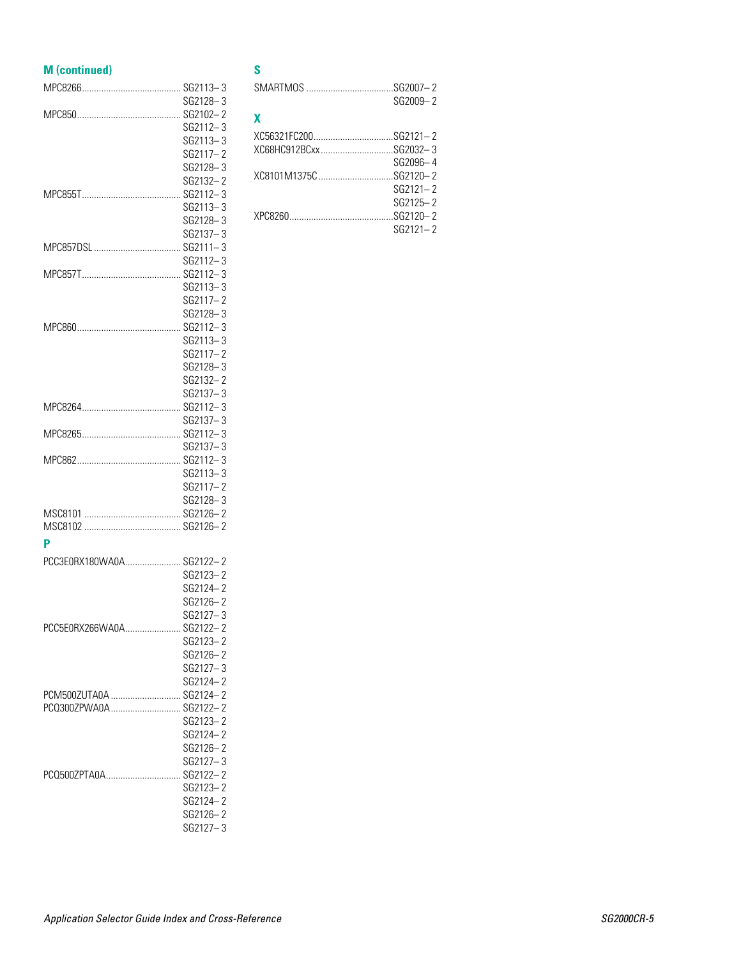| <b>M</b> (continued)     |                      |
|--------------------------|----------------------|
|                          |                      |
|                          | SG2128-3             |
|                          |                      |
|                          | SG2112-3             |
|                          | SG2113-3             |
|                          | SG2117-2             |
|                          | SG2128-3             |
|                          | SG2132-2             |
|                          |                      |
|                          | SG2113-3<br>SG2128-3 |
|                          | SG2137-3             |
|                          |                      |
|                          | SG2112-3             |
|                          |                      |
|                          | SG2113-3             |
|                          | SG2117-2             |
|                          | SG2128-3             |
|                          |                      |
|                          | SG2113-3             |
|                          | SG2117-2             |
|                          | SG2128-3             |
|                          | SG2132-2             |
|                          | SG2137-3             |
|                          |                      |
|                          | SG2137-3             |
|                          |                      |
|                          | SG2137-3             |
|                          |                      |
|                          | SG2113-3             |
|                          | SG2117-2             |
|                          | SG2128-3             |
|                          |                      |
|                          |                      |
| P                        |                      |
| PCC3E0RX180WA0A SG2122-2 |                      |
|                          | SG2123-2             |
|                          | SG2124-2             |
|                          | SG2126-2             |
| PCC5E0RX266WA0A SG2122-2 | SG2127-3             |
|                          | SG2123-2             |
|                          | SG2126-2             |
|                          | $SG2127 - 3$         |
|                          | SG2124-2             |
| PCM500ZUTA0A  SG2124-2   |                      |
| PCQ300ZPWA0A SG2122-2    |                      |
|                          | SG2123-2             |
|                          | SG2124-2             |
|                          | SG2126-2             |
|                          | SG2127-3             |
| PCQ500ZPTA0A SG2122-2    |                      |
|                          | SG2123-2             |
|                          | SG2124-2             |
|                          | SG2126-2             |
|                          | SG2127-3             |

### **S**

| $SMARTMOS$ $SG2007-2$ | SG2009-2     |
|-----------------------|--------------|
| X                     |              |
|                       |              |
|                       |              |
|                       | SG2096-4     |
|                       |              |
|                       | $SG2121 - 2$ |
|                       | $SG2125 - 2$ |
|                       |              |
|                       | $SG2121 - 2$ |